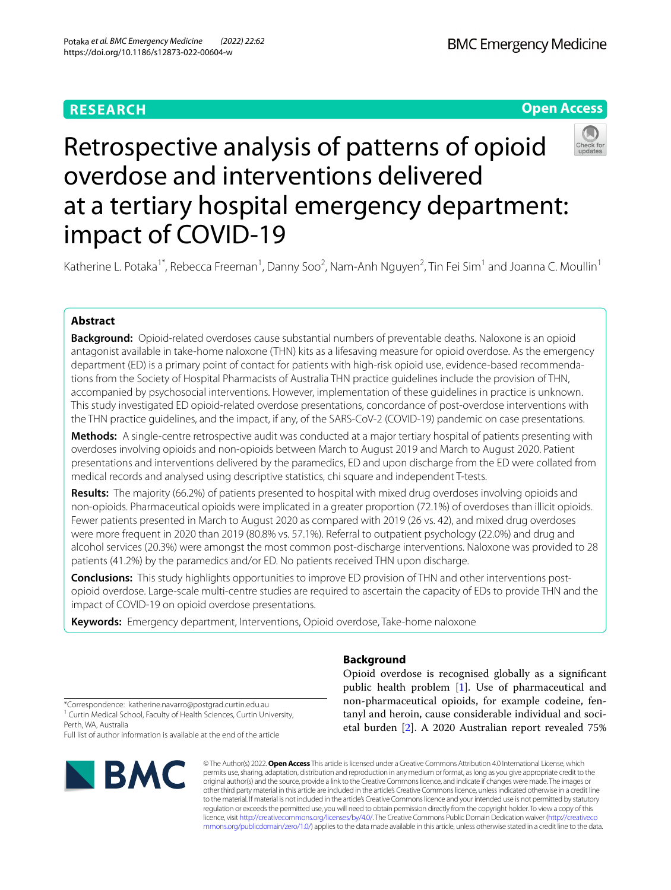# **RESEARCH**

**BMC Emergency Medicine** 

# **Open Access**



Katherine L. Potaka<sup>1\*</sup>, Rebecca Freeman<sup>1</sup>, Danny Soo<sup>2</sup>, Nam-Anh Nguyen<sup>2</sup>, Tin Fei Sim<sup>1</sup> and Joanna C. Moullin<sup>1</sup>

# **Abstract**

**Background:** Opioid-related overdoses cause substantial numbers of preventable deaths. Naloxone is an opioid antagonist available in take-home naloxone (THN) kits as a lifesaving measure for opioid overdose. As the emergency department (ED) is a primary point of contact for patients with high-risk opioid use, evidence-based recommenda‑ tions from the Society of Hospital Pharmacists of Australia THN practice guidelines include the provision of THN, accompanied by psychosocial interventions. However, implementation of these guidelines in practice is unknown. This study investigated ED opioid-related overdose presentations, concordance of post-overdose interventions with the THN practice guidelines, and the impact, if any, of the SARS-CoV-2 (COVID-19) pandemic on case presentations.

**Methods:** A single-centre retrospective audit was conducted at a major tertiary hospital of patients presenting with overdoses involving opioids and non-opioids between March to August 2019 and March to August 2020. Patient presentations and interventions delivered by the paramedics, ED and upon discharge from the ED were collated from medical records and analysed using descriptive statistics, chi square and independent T-tests.

**Results:** The majority (66.2%) of patients presented to hospital with mixed drug overdoses involving opioids and non-opioids. Pharmaceutical opioids were implicated in a greater proportion (72.1%) of overdoses than illicit opioids. Fewer patients presented in March to August 2020 as compared with 2019 (26 vs. 42), and mixed drug overdoses were more frequent in 2020 than 2019 (80.8% vs. 57.1%). Referral to outpatient psychology (22.0%) and drug and alcohol services (20.3%) were amongst the most common post-discharge interventions. Naloxone was provided to 28 patients (41.2%) by the paramedics and/or ED. No patients received THN upon discharge.

**Conclusions:** This study highlights opportunities to improve ED provision of THN and other interventions postopioid overdose. Large-scale multi-centre studies are required to ascertain the capacity of EDs to provide THN and the impact of COVID-19 on opioid overdose presentations.

**Keywords:** Emergency department, Interventions, Opioid overdose, Take-home naloxone

# **Background**

Opioid overdose is recognised globally as a signifcant public health problem [\[1](#page-8-0)]. Use of pharmaceutical and non-pharmaceutical opioids, for example codeine, fentanyl and heroin, cause considerable individual and societal burden [[2\]](#page-8-1). A 2020 Australian report revealed 75%

\*Correspondence: katherine.navarro@postgrad.curtin.edu.au <sup>1</sup> Curtin Medical School, Faculty of Health Sciences, Curtin University, Perth, WA, Australia

Full list of author information is available at the end of the article



© The Author(s) 2022. **Open Access** This article is licensed under a Creative Commons Attribution 4.0 International License, which permits use, sharing, adaptation, distribution and reproduction in any medium or format, as long as you give appropriate credit to the original author(s) and the source, provide a link to the Creative Commons licence, and indicate if changes were made. The images or other third party material in this article are included in the article's Creative Commons licence, unless indicated otherwise in a credit line to the material. If material is not included in the article's Creative Commons licence and your intended use is not permitted by statutory regulation or exceeds the permitted use, you will need to obtain permission directly from the copyright holder. To view a copy of this licence, visit [http://creativecommons.org/licenses/by/4.0/.](http://creativecommons.org/licenses/by/4.0/) The Creative Commons Public Domain Dedication waiver ([http://creativeco](http://creativecommons.org/publicdomain/zero/1.0/) [mmons.org/publicdomain/zero/1.0/](http://creativecommons.org/publicdomain/zero/1.0/)) applies to the data made available in this article, unless otherwise stated in a credit line to the data.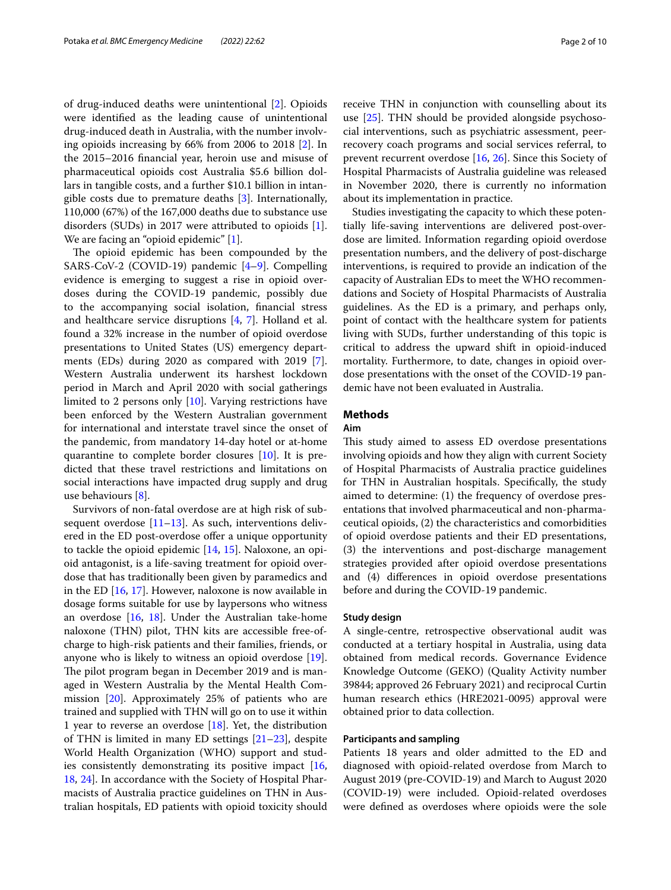of drug-induced deaths were unintentional [[2\]](#page-8-1). Opioids were identifed as the leading cause of unintentional drug-induced death in Australia, with the number involving opioids increasing by 66% from 2006 to 2018 [\[2](#page-8-1)]. In the 2015–2016 fnancial year, heroin use and misuse of pharmaceutical opioids cost Australia \$5.6 billion dollars in tangible costs, and a further \$10.1 billion in intangible costs due to premature deaths [\[3](#page-8-2)]. Internationally, 110,000 (67%) of the 167,000 deaths due to substance use disorders (SUDs) in 2017 were attributed to opioids [\[1](#page-8-0)]. We are facing an "opioid epidemic" [\[1](#page-8-0)].

The opioid epidemic has been compounded by the SARS-CoV-2 (COVID-19) pandemic [[4](#page-8-3)[–9](#page-9-0)]. Compelling evidence is emerging to suggest a rise in opioid overdoses during the COVID-19 pandemic, possibly due to the accompanying social isolation, fnancial stress and healthcare service disruptions [[4,](#page-8-3) [7\]](#page-8-4). Holland et al. found a 32% increase in the number of opioid overdose presentations to United States (US) emergency departments (EDs) during 2020 as compared with 2019 [\[7](#page-8-4)]. Western Australia underwent its harshest lockdown period in March and April 2020 with social gatherings limited to 2 persons only [\[10\]](#page-9-1). Varying restrictions have been enforced by the Western Australian government for international and interstate travel since the onset of the pandemic, from mandatory 14-day hotel or at-home quarantine to complete border closures [[10](#page-9-1)]. It is predicted that these travel restrictions and limitations on social interactions have impacted drug supply and drug use behaviours [[8\]](#page-9-2).

Survivors of non-fatal overdose are at high risk of subsequent overdose  $[11–13]$  $[11–13]$  $[11–13]$  $[11–13]$ . As such, interventions delivered in the ED post-overdose offer a unique opportunity to tackle the opioid epidemic [[14](#page-9-5), [15](#page-9-6)]. Naloxone, an opioid antagonist, is a life-saving treatment for opioid overdose that has traditionally been given by paramedics and in the ED [[16,](#page-9-7) [17](#page-9-8)]. However, naloxone is now available in dosage forms suitable for use by laypersons who witness an overdose [\[16](#page-9-7), [18\]](#page-9-9). Under the Australian take-home naloxone (THN) pilot, THN kits are accessible free-ofcharge to high-risk patients and their families, friends, or anyone who is likely to witness an opioid overdose [\[19](#page-9-10)]. The pilot program began in December 2019 and is managed in Western Australia by the Mental Health Commission [[20\]](#page-9-11). Approximately 25% of patients who are trained and supplied with THN will go on to use it within 1 year to reverse an overdose [[18\]](#page-9-9). Yet, the distribution of THN is limited in many ED settings [\[21–](#page-9-12)[23\]](#page-9-13), despite World Health Organization (WHO) support and studies consistently demonstrating its positive impact [\[16](#page-9-7), [18,](#page-9-9) [24](#page-9-14)]. In accordance with the Society of Hospital Pharmacists of Australia practice guidelines on THN in Australian hospitals, ED patients with opioid toxicity should receive THN in conjunction with counselling about its use [\[25](#page-9-15)]. THN should be provided alongside psychosocial interventions, such as psychiatric assessment, peerrecovery coach programs and social services referral, to prevent recurrent overdose [[16,](#page-9-7) [26](#page-9-16)]. Since this Society of Hospital Pharmacists of Australia guideline was released in November 2020, there is currently no information about its implementation in practice.

Studies investigating the capacity to which these potentially life-saving interventions are delivered post-overdose are limited. Information regarding opioid overdose presentation numbers, and the delivery of post-discharge interventions, is required to provide an indication of the capacity of Australian EDs to meet the WHO recommendations and Society of Hospital Pharmacists of Australia guidelines. As the ED is a primary, and perhaps only, point of contact with the healthcare system for patients living with SUDs, further understanding of this topic is critical to address the upward shift in opioid-induced mortality. Furthermore, to date, changes in opioid overdose presentations with the onset of the COVID-19 pandemic have not been evaluated in Australia.

### **Methods**

## **Aim**

This study aimed to assess ED overdose presentations involving opioids and how they align with current Society of Hospital Pharmacists of Australia practice guidelines for THN in Australian hospitals. Specifcally, the study aimed to determine: (1) the frequency of overdose presentations that involved pharmaceutical and non-pharmaceutical opioids, (2) the characteristics and comorbidities of opioid overdose patients and their ED presentations, (3) the interventions and post-discharge management strategies provided after opioid overdose presentations and (4) diferences in opioid overdose presentations before and during the COVID-19 pandemic.

### **Study design**

A single-centre, retrospective observational audit was conducted at a tertiary hospital in Australia, using data obtained from medical records. Governance Evidence Knowledge Outcome (GEKO) (Quality Activity number 39844; approved 26 February 2021) and reciprocal Curtin human research ethics (HRE2021-0095) approval were obtained prior to data collection.

### **Participants and sampling**

Patients 18 years and older admitted to the ED and diagnosed with opioid-related overdose from March to August 2019 (pre-COVID-19) and March to August 2020 (COVID-19) were included. Opioid-related overdoses were defned as overdoses where opioids were the sole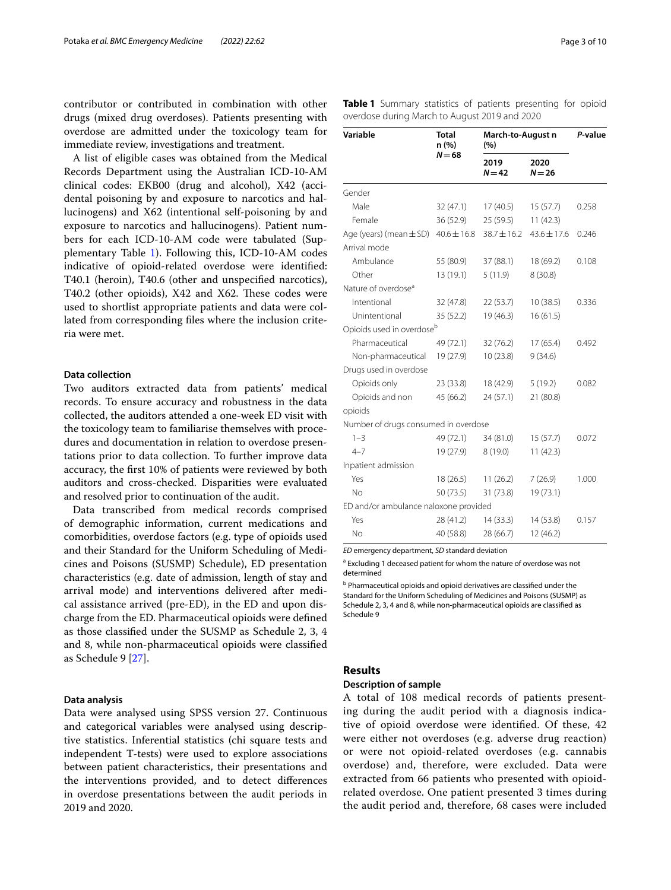contributor or contributed in combination with other drugs (mixed drug overdoses). Patients presenting with overdose are admitted under the toxicology team for immediate review, investigations and treatment.

A list of eligible cases was obtained from the Medical Records Department using the Australian ICD-10-AM clinical codes: EKB00 (drug and alcohol), X42 (accidental poisoning by and exposure to narcotics and hallucinogens) and X62 (intentional self-poisoning by and exposure to narcotics and hallucinogens). Patient numbers for each ICD-10-AM code were tabulated (Supplementary Table [1](#page-8-5)). Following this, ICD-10-AM codes indicative of opioid-related overdose were identifed: T40.1 (heroin), T40.6 (other and unspecifed narcotics), T40.2 (other opioids), X42 and X62. These codes were used to shortlist appropriate patients and data were collated from corresponding fles where the inclusion criteria were met.

## **Data collection**

Two auditors extracted data from patients' medical records. To ensure accuracy and robustness in the data collected, the auditors attended a one-week ED visit with the toxicology team to familiarise themselves with procedures and documentation in relation to overdose presentations prior to data collection. To further improve data accuracy, the frst 10% of patients were reviewed by both auditors and cross-checked. Disparities were evaluated and resolved prior to continuation of the audit.

Data transcribed from medical records comprised of demographic information, current medications and comorbidities, overdose factors (e.g. type of opioids used and their Standard for the Uniform Scheduling of Medicines and Poisons (SUSMP) Schedule), ED presentation characteristics (e.g. date of admission, length of stay and arrival mode) and interventions delivered after medical assistance arrived (pre-ED), in the ED and upon discharge from the ED. Pharmaceutical opioids were defned as those classifed under the SUSMP as Schedule 2, 3, 4 and 8, while non-pharmaceutical opioids were classifed as Schedule 9 [\[27](#page-9-17)].

### **Data analysis**

Data were analysed using SPSS version 27. Continuous and categorical variables were analysed using descriptive statistics. Inferential statistics (chi square tests and independent T-tests) were used to explore associations between patient characteristics, their presentations and the interventions provided, and to detect diferences in overdose presentations between the audit periods in 2019 and 2020.

<span id="page-2-0"></span>

| Variable                              | <b>Total</b><br>n (%)<br>$N = 68$ | March-to-August n<br>(%) |                  | P-value |
|---------------------------------------|-----------------------------------|--------------------------|------------------|---------|
|                                       |                                   | 2019<br>$N = 42$         | 2020<br>$N = 26$ |         |
| Gender                                |                                   |                          |                  |         |
| Male                                  | 32 (47.1)                         | 17(40.5)                 | 15(57.7)         | 0.258   |
| Female                                | 36 (52.9)                         | 25(59.5)                 | 11(42.3)         |         |
| Age (years) (mean $\pm$ SD)           | $40.6 \pm 16.8$                   | $38.7 \pm 16.2$          | $43.6 \pm 17.6$  | 0.246   |
| Arrival mode                          |                                   |                          |                  |         |
| Ambulance                             | 55 (80.9)                         | 37 (88.1)                | 18 (69.2)        | 0.108   |
| Other                                 | 13 (19.1)                         | 5(11.9)                  | 8(30.8)          |         |
| Nature of overdose <sup>a</sup>       |                                   |                          |                  |         |
| Intentional                           | 32 (47.8)                         | 22(53.7)                 | 10(38.5)         | 0.336   |
| Unintentional                         | 35 (52.2)                         | 19 (46.3)                | 16(61.5)         |         |
| Opioids used in overdose <sup>b</sup> |                                   |                          |                  |         |
| Pharmaceutical                        | 49 (72.1)                         | 32 (76.2)                | 17(65.4)         | 0.492   |
| Non-pharmaceutical                    | 19 (27.9)                         | 10 (23.8)                | 9(34.6)          |         |
| Drugs used in overdose                |                                   |                          |                  |         |
| Opioids only                          | 23 (33.8)                         | 18 (42.9)                | 5(19.2)          | 0.082   |
| Opioids and non                       | 45 (66.2)                         | 24(57.1)                 | 21 (80.8)        |         |
| opioids                               |                                   |                          |                  |         |
| Number of drugs consumed in overdose  |                                   |                          |                  |         |
| $1 - 3$                               | 49 (72.1)                         | 34 (81.0)                | 15(57.7)         | 0.072   |
| $4 - 7$                               | 19 (27.9)                         | 8(19.0)                  | 11(42.3)         |         |
| Inpatient admission                   |                                   |                          |                  |         |
| Yes                                   | 18 (26.5)                         | 11(26.2)                 | 7(26.9)          | 1.000   |
| No                                    | 50 (73.5)                         | 31 (73.8)                | 19 (73.1)        |         |
| ED and/or ambulance naloxone provided |                                   |                          |                  |         |
| Yes                                   | 28 (41.2)                         | 14(33.3)                 | 14 (53.8)        | 0.157   |
| <b>No</b>                             | 40 (58.8)                         | 28 (66.7)                | 12(46.2)         |         |

*ED* emergency department, *SD* standard deviation

<sup>a</sup> Excluding 1 deceased patient for whom the nature of overdose was not determined

**b** Pharmaceutical opioids and opioid derivatives are classified under the Standard for the Uniform Scheduling of Medicines and Poisons (SUSMP) as Schedule 2, 3, 4 and 8, while non-pharmaceutical opioids are classifed as Schedule 9

# **Results**

# **Description of sample**

A total of 108 medical records of patients presenting during the audit period with a diagnosis indicative of opioid overdose were identifed. Of these, 42 were either not overdoses (e.g. adverse drug reaction) or were not opioid-related overdoses (e.g. cannabis overdose) and, therefore, were excluded. Data were extracted from 66 patients who presented with opioidrelated overdose. One patient presented 3 times during the audit period and, therefore, 68 cases were included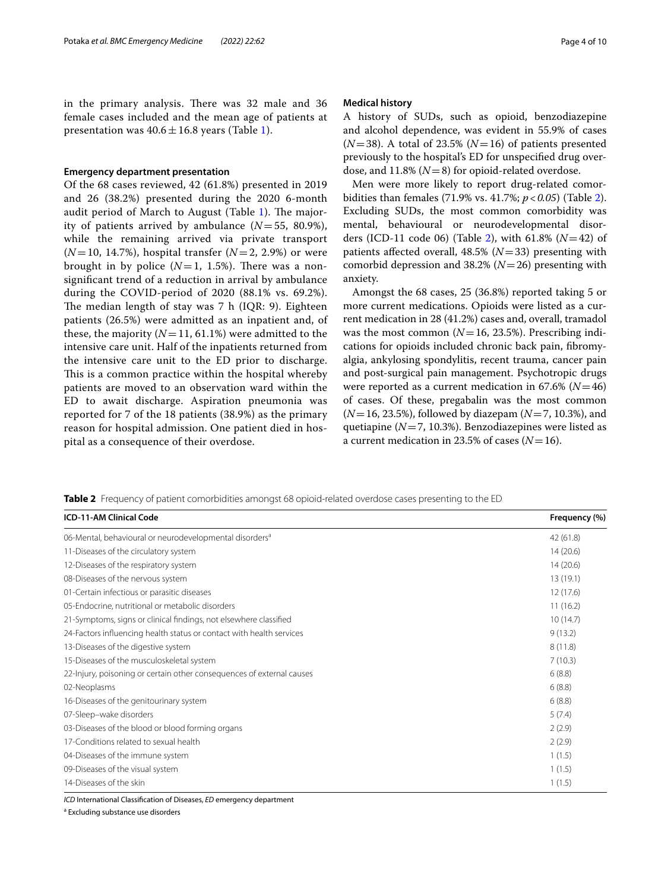in the primary analysis. There was 32 male and 36 female cases included and the mean age of patients at presentation was  $40.6 \pm 16.8$  $40.6 \pm 16.8$  $40.6 \pm 16.8$  years (Table 1).

### **Emergency department presentation**

Of the 68 cases reviewed, 42 (61.8%) presented in 2019 and 26 (38.2%) presented during the 2020 6-month audit period of March to August (Table  $1$ ). The majority of patients arrived by ambulance (*N*=55, 80.9%), while the remaining arrived via private transport (*N*=10, 14.7%), hospital transfer (*N*=2, 2.9%) or were brought in by police  $(N=1, 1.5\%)$ . There was a nonsignifcant trend of a reduction in arrival by ambulance during the COVID-period of 2020 (88.1% vs. 69.2%). The median length of stay was  $7$  h (IQR: 9). Eighteen patients (26.5%) were admitted as an inpatient and, of these, the majority  $(N=11, 61.1%)$  were admitted to the intensive care unit. Half of the inpatients returned from the intensive care unit to the ED prior to discharge. This is a common practice within the hospital whereby patients are moved to an observation ward within the ED to await discharge. Aspiration pneumonia was reported for 7 of the 18 patients (38.9%) as the primary reason for hospital admission. One patient died in hospital as a consequence of their overdose.

### **Medical history**

A history of SUDs, such as opioid, benzodiazepine and alcohol dependence, was evident in 55.9% of cases  $(N=38)$ . A total of 23.5%  $(N=16)$  of patients presented previously to the hospital's ED for unspecifed drug overdose, and  $11.8\%$  ( $N=8$ ) for opioid-related overdose.

Men were more likely to report drug-related comorbidities than females (71.9% vs. 41.7%; *p*<*0.05*) (Table [2](#page-3-0)). Excluding SUDs, the most common comorbidity was mental, behavioural or neurodevelopmental disorders (ICD-11 code 06) (Table [2\)](#page-3-0), with 61.8% (*N*=42) of patients afected overall, 48.5% (*N*=33) presenting with comorbid depression and 38.2% (*N*=26) presenting with anxiety.

Amongst the 68 cases, 25 (36.8%) reported taking 5 or more current medications. Opioids were listed as a current medication in 28 (41.2%) cases and, overall, tramadol was the most common  $(N=16, 23.5%)$ . Prescribing indications for opioids included chronic back pain, fbromyalgia, ankylosing spondylitis, recent trauma, cancer pain and post-surgical pain management. Psychotropic drugs were reported as a current medication in 67.6% (*N*=46) of cases. Of these, pregabalin was the most common (*N*=16, 23.5%), followed by diazepam (*N*=7, 10.3%), and quetiapine (*N*=7, 10.3%). Benzodiazepines were listed as a current medication in 23.5% of cases  $(N=16)$ .

<span id="page-3-0"></span>**Table 2** Frequency of patient comorbidities amongst 68 opioid-related overdose cases presenting to the ED

| <b>ICD-11-AM Clinical Code</b>                                        | Frequency (%) |
|-----------------------------------------------------------------------|---------------|
| 06-Mental, behavioural or neurodevelopmental disorders <sup>a</sup>   | 42 (61.8)     |
| 11-Diseases of the circulatory system                                 | 14(20.6)      |
| 12-Diseases of the respiratory system                                 | 14(20.6)      |
| 08-Diseases of the nervous system                                     | 13(19.1)      |
| 01-Certain infectious or parasitic diseases                           | 12(17.6)      |
| 05-Endocrine, nutritional or metabolic disorders                      | 11(16.2)      |
| 21-Symptoms, signs or clinical findings, not elsewhere classified     | 10(14.7)      |
| 24-Factors influencing health status or contact with health services  | 9(13.2)       |
| 13-Diseases of the digestive system                                   | 8(11.8)       |
| 15-Diseases of the musculoskeletal system                             | 7(10.3)       |
| 22-Injury, poisoning or certain other consequences of external causes | 6(8.8)        |
| 02-Neoplasms                                                          | 6(8.8)        |
| 16-Diseases of the genitourinary system                               | 6(8.8)        |
| 07-Sleep-wake disorders                                               | 5(7.4)        |
| 03-Diseases of the blood or blood forming organs                      | 2(2.9)        |
| 17-Conditions related to sexual health                                | 2(2.9)        |
| 04-Diseases of the immune system                                      | 1(1.5)        |
| 09-Diseases of the visual system                                      | 1(1.5)        |
| 14-Diseases of the skin                                               | 1(1.5)        |

*ICD* International Classifcation of Diseases, *ED* emergency department

<sup>a</sup> Excluding substance use disorders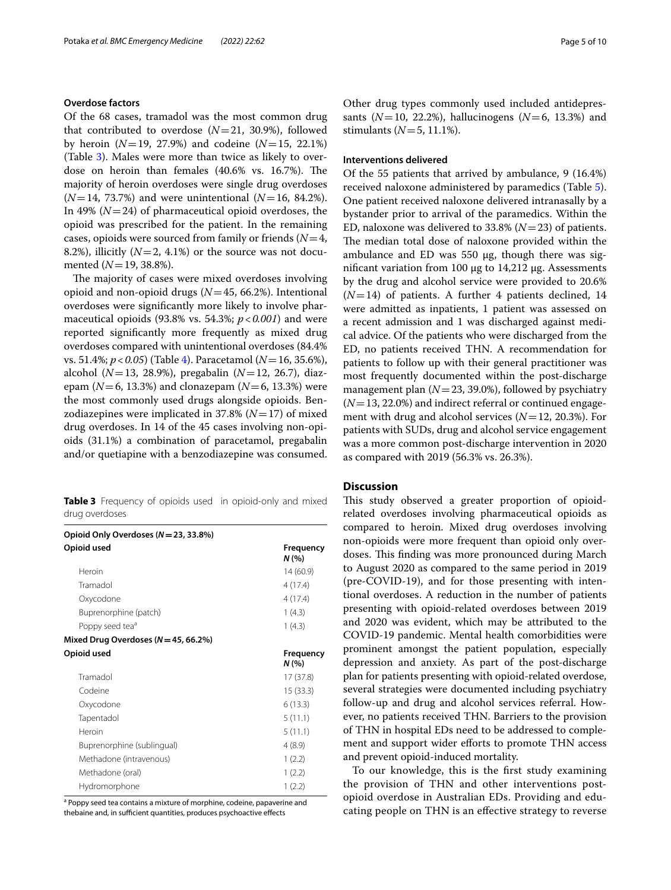### **Overdose factors**

Of the 68 cases, tramadol was the most common drug that contributed to overdose  $(N=21, 30.9\%)$ , followed by heroin  $(N=19, 27.9%)$  and codeine  $(N=15, 22.1%)$ (Table [3](#page-4-0)). Males were more than twice as likely to overdose on heroin than females  $(40.6\% \text{ vs. } 16.7\%).$  The majority of heroin overdoses were single drug overdoses (*N*=14, 73.7%) and were unintentional (*N*=16, 84.2%). In 49%  $(N=24)$  of pharmaceutical opioid overdoses, the opioid was prescribed for the patient. In the remaining cases, opioids were sourced from family or friends (*N*=4, 8.2%), illicitly  $(N=2, 4.1\%)$  or the source was not documented (*N*=19, 38.8%).

The majority of cases were mixed overdoses involving opioid and non-opioid drugs (*N*=45, 66.2%). Intentional overdoses were signifcantly more likely to involve pharmaceutical opioids (93.8% vs. 54.3%; *p*<*0.001*) and were reported signifcantly more frequently as mixed drug overdoses compared with unintentional overdoses (84.4% vs. 51.4%; *p*<*0.05*) (Table [4](#page-5-0)). Paracetamol (*N*=16, 35.6%), alcohol (*N*=13, 28.9%), pregabalin (*N*=12, 26.7), diazepam ( $N=6$ , 13.3%) and clonazepam ( $N=6$ , 13.3%) were the most commonly used drugs alongside opioids. Benzodiazepines were implicated in 37.8% (*N*=17) of mixed drug overdoses. In 14 of the 45 cases involving non-opioids (31.1%) a combination of paracetamol, pregabalin and/or quetiapine with a benzodiazepine was consumed.

<span id="page-4-0"></span>**Table 3** Frequency of opioids used in opioid-only and mixed drug overdoses

| Opioid Only Overdoses ( $N = 23, 33.8\%$ ) |                  |
|--------------------------------------------|------------------|
| Opioid used                                | Frequency<br>N(% |
| Heroin                                     | 14(60.9)         |
| Tramadol                                   | 4(17.4)          |
| Oxycodone                                  | 4(17.4)          |
| Buprenorphine (patch)                      | 1(4.3)           |
| Poppy seed tea <sup>a</sup>                | 1(4.3)           |
| Mixed Drug Overdoses ( $N = 45, 66.2\%$ )  |                  |
| Opioid used                                | Frequency<br>N(% |
| Tramadol                                   | 17 (37.8)        |
| Codeine                                    | 15(33.3)         |
| Oxycodone                                  | 6(13.3)          |
| Tapentadol                                 | 5(11.1)          |
| Heroin                                     | 5(11.1)          |
| Buprenorphine (sublingual)                 | 4(8.9)           |
| Methadone (intravenous)                    | 1(2.2)           |
| Methadone (oral)                           | 1(2.2)           |
| Hydromorphone                              | 1(2.2)           |

<sup>a</sup> Poppy seed tea contains a mixture of morphine, codeine, papaverine and thebaine and, in sufficient quantities, produces psychoactive effects

Other drug types commonly used included antidepressants (*N*=10, 22.2%), hallucinogens (*N*=6, 13.3%) and stimulants ( $N = 5$ , 11.1%).

### **Interventions delivered**

Of the 55 patients that arrived by ambulance, 9 (16.4%) received naloxone administered by paramedics (Table [5](#page-6-0)). One patient received naloxone delivered intranasally by a bystander prior to arrival of the paramedics. Within the ED, naloxone was delivered to 33.8% (*N*=23) of patients. The median total dose of naloxone provided within the ambulance and ED was  $550 \mu g$ , though there was signifcant variation from 100 µg to 14,212 µg. Assessments by the drug and alcohol service were provided to 20.6%  $(N=14)$  of patients. A further 4 patients declined, 14 were admitted as inpatients, 1 patient was assessed on a recent admission and 1 was discharged against medical advice. Of the patients who were discharged from the ED, no patients received THN. A recommendation for patients to follow up with their general practitioner was most frequently documented within the post-discharge management plan  $(N=23, 39.0\%)$ , followed by psychiatry (*N*=13, 22.0%) and indirect referral or continued engagement with drug and alcohol services (*N*=12, 20.3%). For patients with SUDs, drug and alcohol service engagement was a more common post-discharge intervention in 2020 as compared with 2019 (56.3% vs. 26.3%).

# **Discussion**

This study observed a greater proportion of opioidrelated overdoses involving pharmaceutical opioids as compared to heroin. Mixed drug overdoses involving non-opioids were more frequent than opioid only overdoses. This finding was more pronounced during March to August 2020 as compared to the same period in 2019 (pre-COVID-19), and for those presenting with intentional overdoses. A reduction in the number of patients presenting with opioid-related overdoses between 2019 and 2020 was evident, which may be attributed to the COVID-19 pandemic. Mental health comorbidities were prominent amongst the patient population, especially depression and anxiety. As part of the post-discharge plan for patients presenting with opioid-related overdose, several strategies were documented including psychiatry follow-up and drug and alcohol services referral. However, no patients received THN. Barriers to the provision of THN in hospital EDs need to be addressed to complement and support wider efforts to promote THN access and prevent opioid-induced mortality.

To our knowledge, this is the frst study examining the provision of THN and other interventions postopioid overdose in Australian EDs. Providing and educating people on THN is an efective strategy to reverse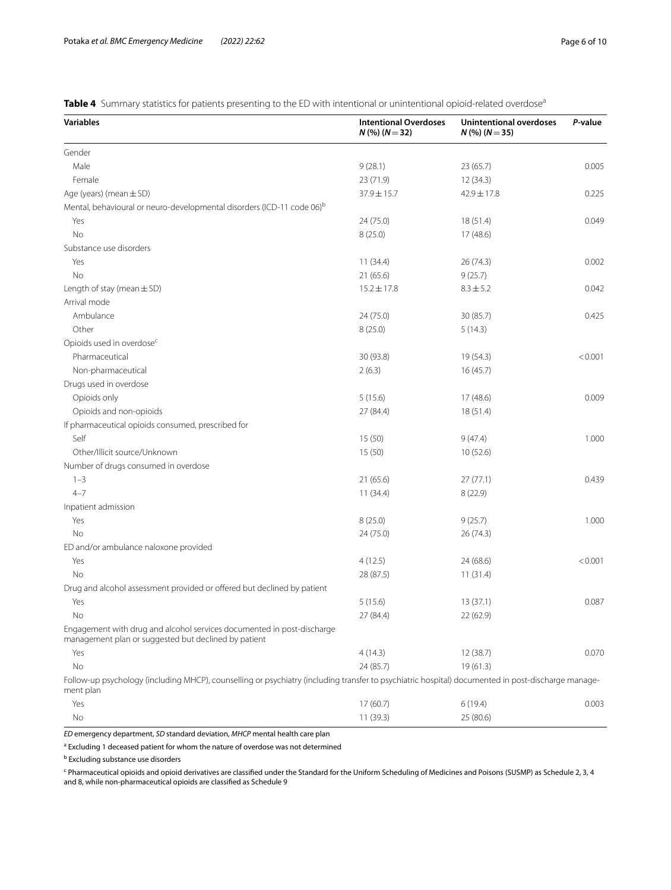<span id="page-5-0"></span>Table 4 Summary statistics for patients presenting to the ED with intentional or unintentional opioid-related overdose<sup>a</sup>

| <b>Variables</b>                                                                                                                                                | <b>Intentional Overdoses</b><br>$N$ (%) ( $N = 32$ ) | <b>Unintentional overdoses</b><br>$N$ (%) ( $N = 35$ ) | P-value |  |
|-----------------------------------------------------------------------------------------------------------------------------------------------------------------|------------------------------------------------------|--------------------------------------------------------|---------|--|
| Gender                                                                                                                                                          |                                                      |                                                        |         |  |
| Male                                                                                                                                                            | 9(28.1)                                              | 23 (65.7)                                              | 0.005   |  |
| Female                                                                                                                                                          | 23 (71.9)                                            | 12(34.3)                                               |         |  |
| Age (years) (mean $\pm$ SD)                                                                                                                                     | 37.9 ± 15.7                                          | 42.9±17.8                                              | 0.225   |  |
| Mental, behavioural or neuro-developmental disorders (ICD-11 code 06) <sup>b</sup>                                                                              |                                                      |                                                        |         |  |
| Yes                                                                                                                                                             | 24 (75.0)                                            | 18 (51.4)                                              | 0.049   |  |
| No                                                                                                                                                              | 8(25.0)                                              | 17(48.6)                                               |         |  |
| Substance use disorders                                                                                                                                         |                                                      |                                                        |         |  |
| Yes                                                                                                                                                             | 11(34.4)                                             | 26 (74.3)                                              | 0.002   |  |
| <b>No</b>                                                                                                                                                       | 21(65.6)                                             | 9(25.7)                                                |         |  |
| Length of stay (mean $\pm$ SD)                                                                                                                                  | $15.2 \pm 17.8$                                      | $8.3 \pm 5.2$                                          | 0.042   |  |
| Arrival mode                                                                                                                                                    |                                                      |                                                        |         |  |
| Ambulance                                                                                                                                                       | 24 (75.0)                                            | 30 (85.7)                                              | 0.425   |  |
| Other                                                                                                                                                           | 8(25.0)                                              | 5(14.3)                                                |         |  |
| Opioids used in overdose <sup>c</sup>                                                                                                                           |                                                      |                                                        |         |  |
| Pharmaceutical                                                                                                                                                  | 30 (93.8)                                            | 19 (54.3)                                              | < 0.001 |  |
| Non-pharmaceutical                                                                                                                                              | 2(6.3)                                               | 16(45.7)                                               |         |  |
| Drugs used in overdose                                                                                                                                          |                                                      |                                                        |         |  |
| Opioids only                                                                                                                                                    | 5(15.6)                                              | 17(48.6)                                               | 0.009   |  |
| Opioids and non-opioids                                                                                                                                         | 27 (84.4)                                            | 18(51.4)                                               |         |  |
| If pharmaceutical opioids consumed, prescribed for                                                                                                              |                                                      |                                                        |         |  |
| Self                                                                                                                                                            | 15 (50)                                              | 9(47.4)                                                | 1.000   |  |
| Other/Illicit source/Unknown                                                                                                                                    | 15 (50)                                              | 10(52.6)                                               |         |  |
| Number of drugs consumed in overdose                                                                                                                            |                                                      |                                                        |         |  |
| $1 - 3$                                                                                                                                                         | 21 (65.6)                                            | 27(77.1)                                               | 0.439   |  |
| $4 - 7$                                                                                                                                                         | 11(34.4)                                             | 8(22.9)                                                |         |  |
| Inpatient admission                                                                                                                                             |                                                      |                                                        |         |  |
| Yes                                                                                                                                                             | 8(25.0)                                              | 9(25.7)                                                | 1.000   |  |
| No                                                                                                                                                              | 24 (75.0)                                            | 26 (74.3)                                              |         |  |
| ED and/or ambulance naloxone provided                                                                                                                           |                                                      |                                                        |         |  |
| Yes                                                                                                                                                             | 4(12.5)                                              | 24 (68.6)                                              | < 0.001 |  |
| No                                                                                                                                                              | 28 (87.5)                                            | 11(31.4)                                               |         |  |
| Drug and alcohol assessment provided or offered but declined by patient                                                                                         |                                                      |                                                        |         |  |
| Yes                                                                                                                                                             | 5(15.6)                                              | 13(37.1)                                               | 0.087   |  |
| No.                                                                                                                                                             | 27 (84.4)                                            | 22 (62.9)                                              |         |  |
| Engagement with drug and alcohol services documented in post-discharge<br>management plan or suggested but declined by patient                                  |                                                      |                                                        |         |  |
| Yes                                                                                                                                                             | 4(14.3)                                              | 12 (38.7)                                              | 0.070   |  |
| No                                                                                                                                                              | 24 (85.7)                                            | 19(61.3)                                               |         |  |
| Follow-up psychology (including MHCP), counselling or psychiatry (including transfer to psychiatric hospital) documented in post-discharge manage-<br>ment plan |                                                      |                                                        |         |  |
| Yes                                                                                                                                                             | 17 (60.7)                                            | 6(19.4)                                                | 0.003   |  |

*ED* emergency department, *SD* standard deviation, *MHCP* mental health care plan

<sup>a</sup> Excluding 1 deceased patient for whom the nature of overdose was not determined

**b** Excluding substance use disorders

<sup>c</sup> Pharmaceutical opioids and opioid derivatives are classified under the Standard for the Uniform Scheduling of Medicines and Poisons (SUSMP) as Schedule 2, 3, 4 and 8, while non-pharmaceutical opioids are classifed as Schedule 9

No 11 (39.3) 25 (80.6)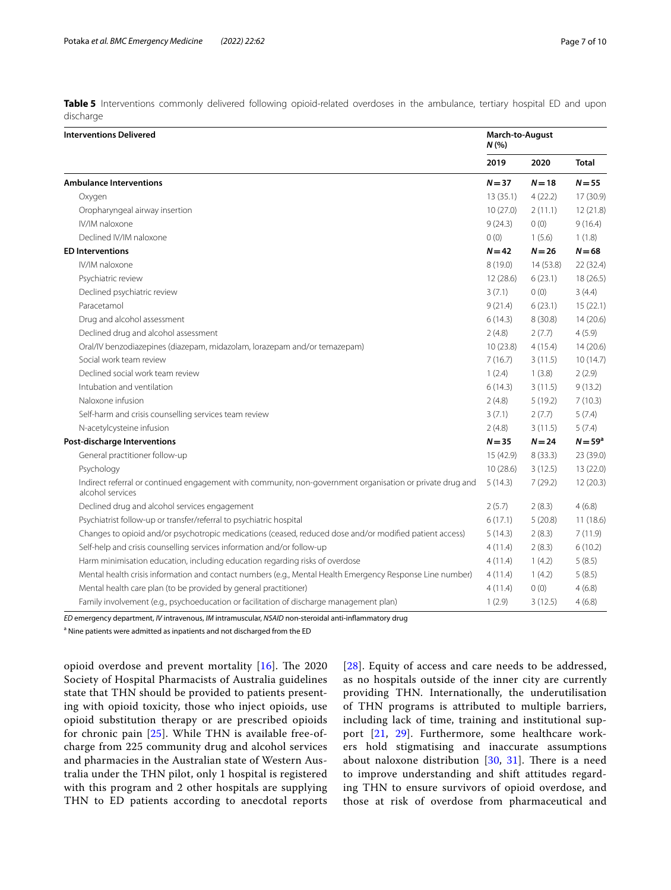<span id="page-6-0"></span>**Table 5** Interventions commonly delivered following opioid-related overdoses in the ambulance, tertiary hospital ED and upon discharge

| <b>Interventions Delivered</b>                                                                                                |          | March-to-August<br>N(% |              |  |
|-------------------------------------------------------------------------------------------------------------------------------|----------|------------------------|--------------|--|
|                                                                                                                               | 2019     | 2020                   | <b>Total</b> |  |
| <b>Ambulance Interventions</b>                                                                                                | $N = 37$ | $N=18$                 | $N = 55$     |  |
| Oxygen                                                                                                                        | 13(35.1) | 4(22.2)                | 17 (30.9)    |  |
| Oropharyngeal airway insertion                                                                                                | 10(27.0) | 2(11.1)                | 12(21.8)     |  |
| IV/IM naloxone                                                                                                                | 9(24.3)  | 0(0)                   | 9(16.4)      |  |
| Declined IV/IM naloxone                                                                                                       | 0(0)     | 1(5.6)                 | 1(1.8)       |  |
| <b>ED Interventions</b>                                                                                                       |          | $N = 26$               | $N = 68$     |  |
| IV/IM naloxone                                                                                                                | 8(19.0)  | 14 (53.8)              | 22 (32.4)    |  |
| Psychiatric review                                                                                                            | 12(28.6) | 6(23.1)                | 18(26.5)     |  |
| Declined psychiatric review                                                                                                   | 3(7.1)   | 0(0)                   | 3(4.4)       |  |
| Paracetamol                                                                                                                   | 9(21.4)  | 6(23.1)                | 15(22.1)     |  |
| Drug and alcohol assessment                                                                                                   | 6(14.3)  | 8(30.8)                | 14(20.6)     |  |
| Declined drug and alcohol assessment                                                                                          | 2(4.8)   | 2(7.7)                 | 4(5.9)       |  |
| Oral/IV benzodiazepines (diazepam, midazolam, lorazepam and/or temazepam)                                                     | 10(23.8) | 4(15.4)                | 14(20.6)     |  |
| Social work team review                                                                                                       | 7(16.7)  | 3(11.5)                | 10(14.7)     |  |
| Declined social work team review                                                                                              | 1(2.4)   | 1(3.8)                 | 2(2.9)       |  |
| Intubation and ventilation                                                                                                    | 6(14.3)  | 3(11.5)                | 9(13.2)      |  |
| Naloxone infusion                                                                                                             | 2(4.8)   | 5(19.2)                | 7(10.3)      |  |
| Self-harm and crisis counselling services team review                                                                         | 3(7.1)   | 2(7.7)                 | 5(7.4)       |  |
| N-acetylcysteine infusion                                                                                                     | 2(4.8)   | 3(11.5)                | 5(7.4)       |  |
| Post-discharge Interventions                                                                                                  | $N = 35$ | $N = 24$               | $N = 59a$    |  |
| General practitioner follow-up                                                                                                | 15(42.9) | 8(33.3)                | 23 (39.0)    |  |
| Psychology                                                                                                                    | 10(28.6) | 3(12.5)                | 13 (22.0)    |  |
| Indirect referral or continued engagement with community, non-government organisation or private drug and<br>alcohol services | 5(14.3)  | 7(29.2)                | 12(20.3)     |  |
| Declined drug and alcohol services engagement                                                                                 | 2(5.7)   | 2(8.3)                 | 4(6.8)       |  |
| Psychiatrist follow-up or transfer/referral to psychiatric hospital                                                           | 6(17.1)  | 5(20.8)                | 11(18.6)     |  |
| Changes to opioid and/or psychotropic medications (ceased, reduced dose and/or modified patient access)                       | 5(14.3)  | 2(8.3)                 | 7(11.9)      |  |
| Self-help and crisis counselling services information and/or follow-up                                                        | 4(11.4)  | 2(8.3)                 | 6(10.2)      |  |
| Harm minimisation education, including education regarding risks of overdose                                                  | 4(11.4)  | 1(4.2)                 | 5(8.5)       |  |
| Mental health crisis information and contact numbers (e.g., Mental Health Emergency Response Line number)                     | 4(11.4)  | 1(4.2)                 | 5(8.5)       |  |
| Mental health care plan (to be provided by general practitioner)                                                              | 4(11.4)  | 0(0)                   | 4(6.8)       |  |
| Family involvement (e.g., psychoeducation or facilitation of discharge management plan)                                       | 1(2.9)   | 3(12.5)                | 4(6.8)       |  |

*ED* emergency department, *IV* intravenous, *IM* intramuscular, *NSAID* non-steroidal anti-infammatory drug

<sup>a</sup> Nine patients were admitted as inpatients and not discharged from the ED

opioid overdose and prevent mortality  $[16]$  $[16]$ . The 2020 Society of Hospital Pharmacists of Australia guidelines state that THN should be provided to patients presenting with opioid toxicity, those who inject opioids, use opioid substitution therapy or are prescribed opioids for chronic pain [[25\]](#page-9-15). While THN is available free-ofcharge from 225 community drug and alcohol services and pharmacies in the Australian state of Western Australia under the THN pilot, only 1 hospital is registered with this program and 2 other hospitals are supplying THN to ED patients according to anecdotal reports [[28](#page-9-18)]. Equity of access and care needs to be addressed, as no hospitals outside of the inner city are currently providing THN. Internationally, the underutilisation of THN programs is attributed to multiple barriers, including lack of time, training and institutional support [\[21,](#page-9-12) [29](#page-9-19)]. Furthermore, some healthcare workers hold stigmatising and inaccurate assumptions about naloxone distribution  $[30, 31]$  $[30, 31]$  $[30, 31]$  $[30, 31]$ . There is a need to improve understanding and shift attitudes regarding THN to ensure survivors of opioid overdose, and those at risk of overdose from pharmaceutical and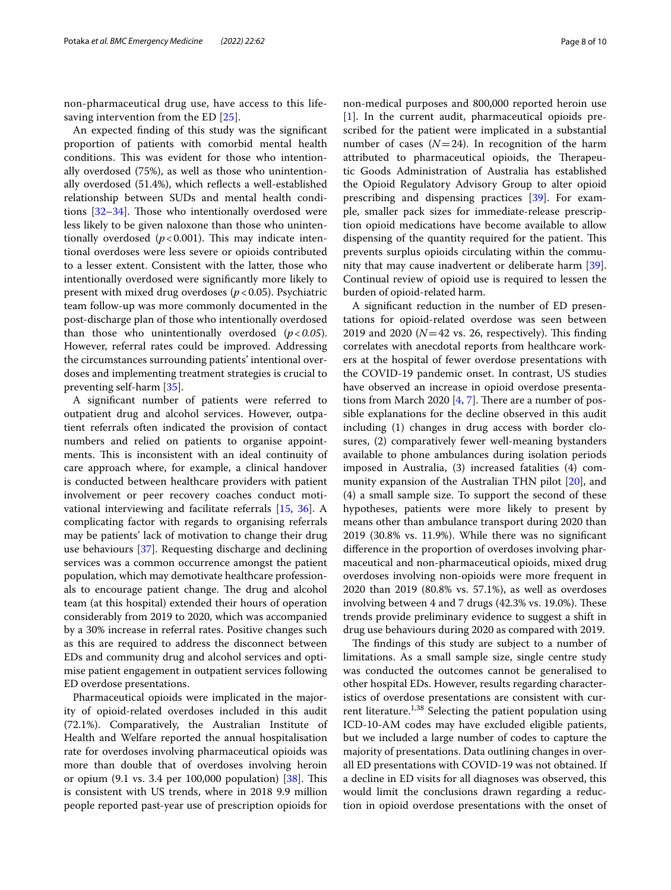non-pharmaceutical drug use, have access to this life-saving intervention from the ED [[25](#page-9-15)].

An expected fnding of this study was the signifcant proportion of patients with comorbid mental health conditions. This was evident for those who intentionally overdosed (75%), as well as those who unintentionally overdosed (51.4%), which refects a well-established relationship between SUDs and mental health conditions  $[32-34]$  $[32-34]$  $[32-34]$ . Those who intentionally overdosed were less likely to be given naloxone than those who unintentionally overdosed  $(p<0.001)$ . This may indicate intentional overdoses were less severe or opioids contributed to a lesser extent. Consistent with the latter, those who intentionally overdosed were signifcantly more likely to present with mixed drug overdoses  $(p < 0.05)$ . Psychiatric team follow-up was more commonly documented in the post-discharge plan of those who intentionally overdosed than those who unintentionally overdosed (*p*<*0.05*). However, referral rates could be improved. Addressing the circumstances surrounding patients' intentional overdoses and implementing treatment strategies is crucial to preventing self-harm [[35\]](#page-9-24).

A signifcant number of patients were referred to outpatient drug and alcohol services. However, outpatient referrals often indicated the provision of contact numbers and relied on patients to organise appointments. This is inconsistent with an ideal continuity of care approach where, for example, a clinical handover is conducted between healthcare providers with patient involvement or peer recovery coaches conduct motivational interviewing and facilitate referrals [\[15](#page-9-6), [36](#page-9-25)]. A complicating factor with regards to organising referrals may be patients' lack of motivation to change their drug use behaviours [[37\]](#page-9-26). Requesting discharge and declining services was a common occurrence amongst the patient population, which may demotivate healthcare professionals to encourage patient change. The drug and alcohol team (at this hospital) extended their hours of operation considerably from 2019 to 2020, which was accompanied by a 30% increase in referral rates. Positive changes such as this are required to address the disconnect between EDs and community drug and alcohol services and optimise patient engagement in outpatient services following ED overdose presentations.

Pharmaceutical opioids were implicated in the majority of opioid-related overdoses included in this audit (72.1%). Comparatively, the Australian Institute of Health and Welfare reported the annual hospitalisation rate for overdoses involving pharmaceutical opioids was more than double that of overdoses involving heroin or opium (9.1 vs. 3.4 per 100,000 population) [\[38](#page-9-27)]. Tis is consistent with US trends, where in 2018 9.9 million people reported past-year use of prescription opioids for non-medical purposes and 800,000 reported heroin use [[1\]](#page-8-0). In the current audit, pharmaceutical opioids prescribed for the patient were implicated in a substantial number of cases  $(N=24)$ . In recognition of the harm attributed to pharmaceutical opioids, the Therapeutic Goods Administration of Australia has established the Opioid Regulatory Advisory Group to alter opioid prescribing and dispensing practices [[39](#page-9-28)]. For example, smaller pack sizes for immediate-release prescription opioid medications have become available to allow dispensing of the quantity required for the patient. This prevents surplus opioids circulating within the community that may cause inadvertent or deliberate harm [\[39](#page-9-28)]. Continual review of opioid use is required to lessen the burden of opioid-related harm.

A signifcant reduction in the number of ED presentations for opioid-related overdose was seen between 2019 and 2020 ( $N=42$  vs. 26, respectively). This finding correlates with anecdotal reports from healthcare workers at the hospital of fewer overdose presentations with the COVID-19 pandemic onset. In contrast, US studies have observed an increase in opioid overdose presentations from March 2020  $[4, 7]$  $[4, 7]$  $[4, 7]$  $[4, 7]$ . There are a number of possible explanations for the decline observed in this audit including (1) changes in drug access with border closures, (2) comparatively fewer well-meaning bystanders available to phone ambulances during isolation periods imposed in Australia, (3) increased fatalities (4) community expansion of the Australian THN pilot [[20\]](#page-9-11), and (4) a small sample size. To support the second of these hypotheses, patients were more likely to present by means other than ambulance transport during 2020 than 2019 (30.8% vs. 11.9%). While there was no signifcant diference in the proportion of overdoses involving pharmaceutical and non-pharmaceutical opioids, mixed drug overdoses involving non-opioids were more frequent in 2020 than 2019 (80.8% vs. 57.1%), as well as overdoses involving between 4 and 7 drugs  $(42.3\% \text{ vs. } 19.0\%)$ . These trends provide preliminary evidence to suggest a shift in drug use behaviours during 2020 as compared with 2019.

The findings of this study are subject to a number of limitations. As a small sample size, single centre study was conducted the outcomes cannot be generalised to other hospital EDs. However, results regarding characteristics of overdose presentations are consistent with current literature.<sup>1,38</sup> Selecting the patient population using ICD-10-AM codes may have excluded eligible patients, but we included a large number of codes to capture the majority of presentations. Data outlining changes in overall ED presentations with COVID-19 was not obtained. If a decline in ED visits for all diagnoses was observed, this would limit the conclusions drawn regarding a reduction in opioid overdose presentations with the onset of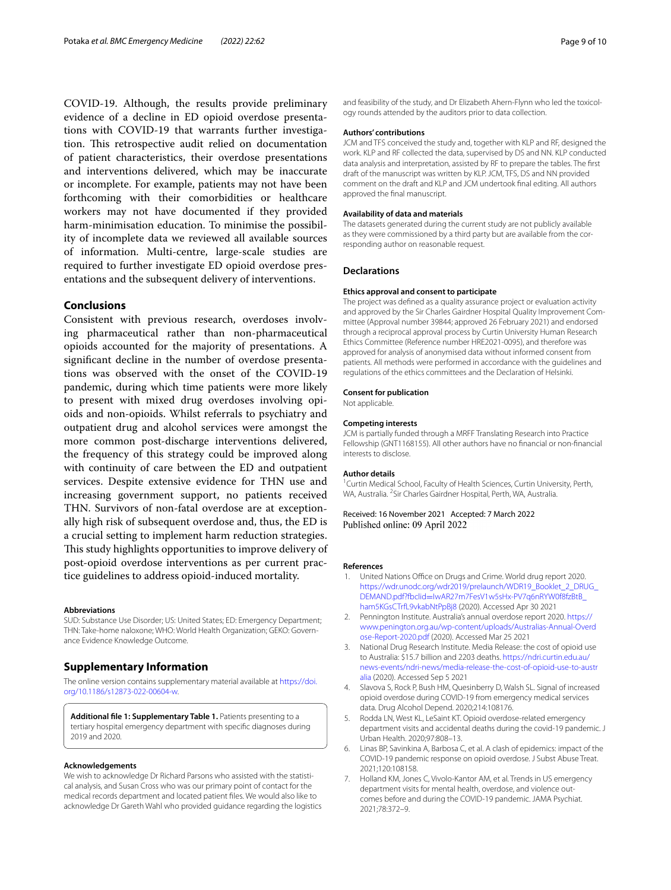COVID-19. Although, the results provide preliminary evidence of a decline in ED opioid overdose presentations with COVID-19 that warrants further investigation. This retrospective audit relied on documentation of patient characteristics, their overdose presentations and interventions delivered, which may be inaccurate or incomplete. For example, patients may not have been forthcoming with their comorbidities or healthcare workers may not have documented if they provided harm-minimisation education. To minimise the possibility of incomplete data we reviewed all available sources of information. Multi-centre, large-scale studies are required to further investigate ED opioid overdose presentations and the subsequent delivery of interventions.

## **Conclusions**

Consistent with previous research, overdoses involving pharmaceutical rather than non-pharmaceutical opioids accounted for the majority of presentations. A signifcant decline in the number of overdose presentations was observed with the onset of the COVID-19 pandemic, during which time patients were more likely to present with mixed drug overdoses involving opioids and non-opioids. Whilst referrals to psychiatry and outpatient drug and alcohol services were amongst the more common post-discharge interventions delivered, the frequency of this strategy could be improved along with continuity of care between the ED and outpatient services. Despite extensive evidence for THN use and increasing government support, no patients received THN. Survivors of non-fatal overdose are at exceptionally high risk of subsequent overdose and, thus, the ED is a crucial setting to implement harm reduction strategies. This study highlights opportunities to improve delivery of post-opioid overdose interventions as per current practice guidelines to address opioid-induced mortality.

#### **Abbreviations**

SUD: Substance Use Disorder; US: United States; ED: Emergency Department; THN: Take-home naloxone; WHO: World Health Organization; GEKO: Governance Evidence Knowledge Outcome.

## **Supplementary Information**

The online version contains supplementary material available at [https://doi.](https://doi.org/10.1186/s12873-022-00604-w) [org/10.1186/s12873-022-00604-w.](https://doi.org/10.1186/s12873-022-00604-w)

<span id="page-8-5"></span>**Additional fle 1: Supplementary Table 1.** Patients presenting to a tertiary hospital emergency department with specifc diagnoses during 2019 and 2020.

### **Acknowledgements**

We wish to acknowledge Dr Richard Parsons who assisted with the statistical analysis, and Susan Cross who was our primary point of contact for the medical records department and located patient fles. We would also like to acknowledge Dr Gareth Wahl who provided guidance regarding the logistics and feasibility of the study, and Dr Elizabeth Ahern-Flynn who led the toxicology rounds attended by the auditors prior to data collection.

### **Authors' contributions**

JCM and TFS conceived the study and, together with KLP and RF, designed the work. KLP and RF collected the data, supervised by DS and NN. KLP conducted data analysis and interpretation, assisted by RF to prepare the tables. The frst draft of the manuscript was written by KLP. JCM, TFS, DS and NN provided comment on the draft and KLP and JCM undertook fnal editing. All authors approved the fnal manuscript.

#### **Availability of data and materials**

The datasets generated during the current study are not publicly available as they were commissioned by a third party but are available from the corresponding author on reasonable request.

### **Declarations**

#### **Ethics approval and consent to participate**

The project was defned as a quality assurance project or evaluation activity and approved by the Sir Charles Gairdner Hospital Quality Improvement Committee (Approval number 39844; approved 26 February 2021) and endorsed through a reciprocal approval process by Curtin University Human Research Ethics Committee (Reference number HRE2021-0095), and therefore was approved for analysis of anonymised data without informed consent from patients. All methods were performed in accordance with the guidelines and regulations of the ethics committees and the Declaration of Helsinki.

#### **Consent for publication**

Not applicable.

#### **Competing interests**

JCM is partially funded through a MRFF Translating Research into Practice Fellowship (GNT1168155). All other authors have no fnancial or non-fnancial interests to disclose.

#### **Author details**

<sup>1</sup> Curtin Medical School, Faculty of Health Sciences, Curtin University, Perth, WA, Australia. <sup>2</sup> Sir Charles Gairdner Hospital, Perth, WA, Australia.

Received: 16 November 2021 Accepted: 7 March 2022 Published online: 09 April 2022

#### **References**

- <span id="page-8-0"></span>1. United Nations Office on Drugs and Crime. World drug report 2020. [https://wdr.unodc.org/wdr2019/prelaunch/WDR19\\_Booklet\\_2\\_DRUG\\_](https://wdr.unodc.org/wdr2019/prelaunch/WDR19_Booklet_2_DRUG_DEMAND.pdf?fbclid=IwAR27m7FesV1w5sHx-PV7q6nRYW0f8fzBtB_ham5KGsCTrfL9vkabNtPpBj8) DEMAND.pdf?fbclid=[IwAR27m7FesV1w5sHx-PV7q6nRYW0f8fzBtB\\_](https://wdr.unodc.org/wdr2019/prelaunch/WDR19_Booklet_2_DRUG_DEMAND.pdf?fbclid=IwAR27m7FesV1w5sHx-PV7q6nRYW0f8fzBtB_ham5KGsCTrfL9vkabNtPpBj8) [ham5KGsCTrfL9vkabNtPpBj8](https://wdr.unodc.org/wdr2019/prelaunch/WDR19_Booklet_2_DRUG_DEMAND.pdf?fbclid=IwAR27m7FesV1w5sHx-PV7q6nRYW0f8fzBtB_ham5KGsCTrfL9vkabNtPpBj8) (2020). Accessed Apr 30 2021
- <span id="page-8-1"></span>2. Pennington Institute. Australia's annual overdose report 2020. [https://](https://www.penington.org.au/wp-content/uploads/Australias-Annual-Overdose-Report-2020.pdf) [www.penington.org.au/wp-content/uploads/Australias-Annual-Overd](https://www.penington.org.au/wp-content/uploads/Australias-Annual-Overdose-Report-2020.pdf) [ose-Report-2020.pdf](https://www.penington.org.au/wp-content/uploads/Australias-Annual-Overdose-Report-2020.pdf) (2020). Accessed Mar 25 2021
- <span id="page-8-2"></span>3. National Drug Research Institute. Media Release: the cost of opioid use to Australia: \$15.7 billion and 2203 deaths. [https://ndri.curtin.edu.au/](https://ndri.curtin.edu.au/news-events/ndri-news/media-release-the-cost-of-opioid-use-to-australia) [news-events/ndri-news/media-release-the-cost-of-opioid-use-to-austr](https://ndri.curtin.edu.au/news-events/ndri-news/media-release-the-cost-of-opioid-use-to-australia) [alia](https://ndri.curtin.edu.au/news-events/ndri-news/media-release-the-cost-of-opioid-use-to-australia) (2020). Accessed Sep 5 2021
- <span id="page-8-3"></span>4. Slavova S, Rock P, Bush HM, Quesinberry D, Walsh SL. Signal of increased opioid overdose during COVID-19 from emergency medical services data. Drug Alcohol Depend. 2020;214:108176.
- 5. Rodda LN, West KL, LeSaint KT. Opioid overdose-related emergency department visits and accidental deaths during the covid-19 pandemic. J Urban Health. 2020;97:808–13.
- 6. Linas BP, Savinkina A, Barbosa C, et al. A clash of epidemics: impact of the COVID-19 pandemic response on opioid overdose. J Subst Abuse Treat. 2021;120:108158.
- <span id="page-8-4"></span>7. Holland KM, Jones C, Vivolo-Kantor AM, et al. Trends in US emergency department visits for mental health, overdose, and violence outcomes before and during the COVID-19 pandemic. JAMA Psychiat. 2021;78:372–9.